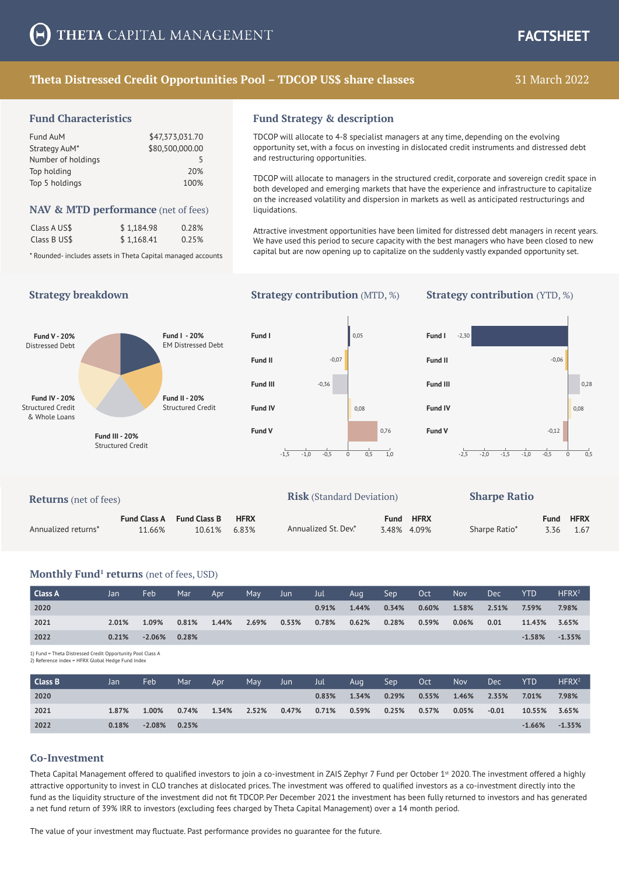# **Theta Distressed Credit Opportunities Pool – TDCOP US\$ share classes**

# 31 March 2022

#### **Fund Characteristics**

| Fund AuM           | \$47,373,031.70 |
|--------------------|-----------------|
| Strategy AuM*      | \$80,500,000.00 |
| Number of holdings | 5               |
| Top holding        | 20%             |
| Top 5 holdings     | 100%            |

#### **NAV & MTD performance** (net of fees)

| Class A US\$ | \$1.184.98 | 0.28% |
|--------------|------------|-------|
| Class B US\$ | \$1,168.41 | 0.25% |

\* Rounded- includes assets in Theta Capital managed accounts

#### **Fund Strategy & description**

TDCOP will allocate to 4-8 specialist managers at any time, depending on the evolving opportunity set, with a focus on investing in dislocated credit instruments and distressed debt and restructuring opportunities.

TDCOP will allocate to managers in the structured credit, corporate and sovereign credit space in both developed and emerging markets that have the experience and infrastructure to capitalize on the increased volatility and dispersion in markets as well as anticipated restructurings and liquidations.

Attractive investment opportunities have been limited for distressed debt managers in recent years. We have used this period to secure capacity with the best managers who have been closed to new capital but are now opening up to capitalize on the suddenly vastly expanded opportunity set.

## **Strategy breakdown Strategy contribution** (MTD, %) **Strategy contribution** (YTD, %)







| <b>Returns</b> (net of fees) |                     |                     |             | <b>Risk</b> (Standard Deviation) |      |             |               |             |             |
|------------------------------|---------------------|---------------------|-------------|----------------------------------|------|-------------|---------------|-------------|-------------|
|                              | <b>Fund Class A</b> | <b>Fund Class B</b> | <b>HFRX</b> |                                  | Fund | <b>HFRX</b> |               | <b>Fund</b> | <b>HFRX</b> |
| Annualized returns*          | 11.66%              | 10.61%              | 6.83%       | Annualized St. Dev.*             |      | 3.48% 4.09% | Sharpe Ratio* | 3.36        | 1.67        |

#### **Monthly Fund<sup>1</sup> returns** (net of fees, USD)

| Class A | Jan   | Feb             | Mar   | Apr   | May   | Jun   | Jul - | Aug   | Sep   | Oct \    | <b>Nov</b> | <b>Dec</b> | <b>YTD</b>          | HFRX <sup>2</sup> |
|---------|-------|-----------------|-------|-------|-------|-------|-------|-------|-------|----------|------------|------------|---------------------|-------------------|
| 2020    |       |                 |       |       |       |       | 0.91% | 1.44% | 0.34% | $0.60\%$ | 1.58%      | 2.51%      | 7.59%               | 7.98%             |
| 2021    | 2.01% | 1.09%           | 0.81% | 1.44% | 2.69% | 0.53% | 0.78% | 0.62% | 0.28% | 0.59%    | 0.06%      | 0.01       | 11.43% 3.65%        |                   |
| 2022    | 0.21% | $-2.06\%$ 0.28% |       |       |       |       |       |       |       |          |            |            | $-1.58\%$ $-1.35\%$ |                   |

1) Fund = Theta Distressed Credit Opportunity Pool Class A

| 2) Reference index = HFRX Global Hedge Fund Index |  |  |  |
|---------------------------------------------------|--|--|--|

| Class B | Jan   | Feb             | Mar   | Apr   | May   | Jun   | Jul   | Aug   | Sep      | Oct      | <b>Nov</b> | <b>Dec</b> | <b>YTD</b>   | HFRX <sup>2</sup> |
|---------|-------|-----------------|-------|-------|-------|-------|-------|-------|----------|----------|------------|------------|--------------|-------------------|
| 2020    |       |                 |       |       |       |       | 0.83% | 1.34% | $0.29\%$ | 0.55%    | 1.46%      | 2.35%      | 7.01%        | 7.98%             |
| 2021    | 1.87% | 1.00%           | 0.74% | 1.34% | 2.52% | 0.47% | 0.71% | 0.59% | 0.25%    | $0.57\%$ | $0.05\%$   | $-0.01$    | 10.55% 3.65% |                   |
| 2022    | 0.18% | $-2.08\%$ 0.25% |       |       |       |       |       |       |          |          |            |            | $-1.66\%$    | $-1.35%$          |

#### **Co-Investment**

Theta Capital Management offered to qualified investors to join a co-investment in ZAIS Zephyr 7 Fund per October 1<sup>st</sup> 2020. The investment offered a highly attractive opportunity to invest in CLO tranches at dislocated prices. The investment was offered to qualified investors as a co-investment directly into the fund as the liquidity structure of the investment did not fit TDCOP. Per December 2021 the investment has been fully returned to investors and has generated a net fund return of 39% IRR to investors (excluding fees charged by Theta Capital Management) over a 14 month period.

The value of your investment may fluctuate. Past performance provides no guarantee for the future.